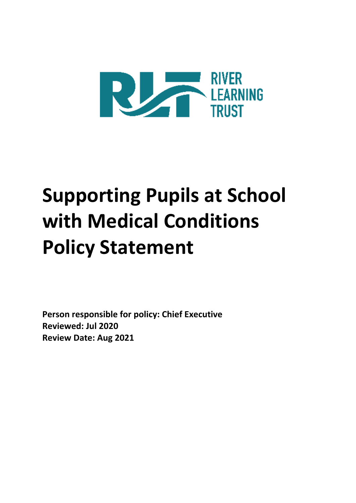

# **Supporting Pupils at School with Medical Conditions Policy Statement**

**Person responsible for policy: Chief Executive Reviewed: Jul 2020 Review Date: Aug 2021**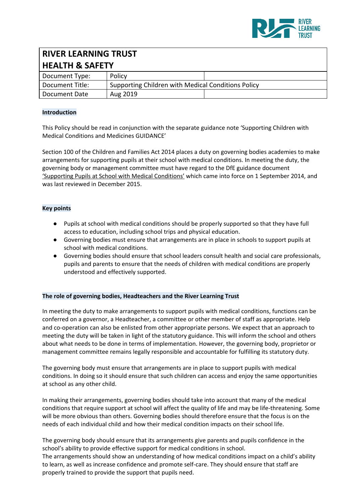

## **RIVER LEARNING TRUST HEALTH & SAFETY** Document Type: | Policy Document Title: Supporting Children with Medical Conditions Policy Document Date | Aug 2019

## **Introduction**

This Policy should be read in conjunction with the separate guidance note 'Supporting Children with Medical Conditions and Medicines GUIDANCE'

Section 100 of the Children and Families Act 2014 places a duty on governing bodies academies to make arrangements for supporting pupils at their school with medical conditions. In meeting the duty, the governing body or management committee must have regard to the DfE guidance documen[t](https://www.gov.uk/government/publications/supporting-pupils-at-school-with-medical-conditions--3) ['Supporting](https://www.gov.uk/government/publications/supporting-pupils-at-school-with-medical-conditions--3) Pupils at School with Medical Conditions' which came into force on 1 September 2014, and was last reviewed in December 2015.

#### **Key points**

- Pupils at school with medical conditions should be properly supported so that they have full access to education, including school trips and physical education.
- Governing bodies must ensure that arrangements are in place in schools to support pupils at school with medical conditions.
- Governing bodies should ensure that school leaders consult health and social care professionals, pupils and parents to ensure that the needs of children with medical conditions are properly understood and effectively supported.

## **The role of governing bodies, Headteachers and the River Learning Trust**

In meeting the duty to make arrangements to support pupils with medical conditions, functions can be conferred on a governor, a Headteacher, a committee or other member of staff as appropriate. Help and co-operation can also be enlisted from other appropriate persons. We expect that an approach to meeting the duty will be taken in light of the statutory guidance. This will inform the school and others about what needs to be done in terms of implementation. However, the governing body, proprietor or management committee remains legally responsible and accountable for fulfilling its statutory duty.

The governing body must ensure that arrangements are in place to support pupils with medical conditions. In doing so it should ensure that such children can access and enjoy the same opportunities at school as any other child.

In making their arrangements, governing bodies should take into account that many of the medical conditions that require support at school will affect the quality of life and may be life-threatening. Some will be more obvious than others. Governing bodies should therefore ensure that the focus is on the needs of each individual child and how their medical condition impacts on their school life.

The governing body should ensure that its arrangements give parents and pupils confidence in the school's ability to provide effective support for medical conditions in school. The arrangements should show an understanding of how medical conditions impact on a child's ability to learn, as well as increase confidence and promote self-care. They should ensure that staff are properly trained to provide the support that pupils need.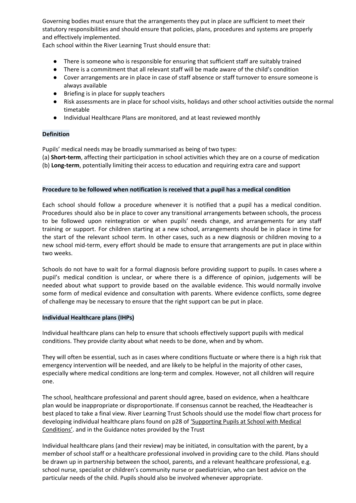Governing bodies must ensure that the arrangements they put in place are sufficient to meet their statutory responsibilities and should ensure that policies, plans, procedures and systems are properly and effectively implemented.

Each school within the River Learning Trust should ensure that:

- There is someone who is responsible for ensuring that sufficient staff are suitably trained
- There is a commitment that all relevant staff will be made aware of the child's condition
- Cover arrangements are in place in case of staff absence or staff turnover to ensure someone is always available
- Briefing is in place for supply teachers
- Risk assessments are in place for school visits, holidays and other school activities outside the normal timetable
- Individual Healthcare Plans are monitored, and at least reviewed monthly

## **Definition**

Pupils' medical needs may be broadly summarised as being of two types:

(a) **Short-term**, affecting their participation in school activities which they are on a course of medication (b) **Long-term**, potentially limiting their access to education and requiring extra care and support

## **Procedure to be followed when notification is received that a pupil has a medical condition**

Each school should follow a procedure whenever it is notified that a pupil has a medical condition. Procedures should also be in place to cover any transitional arrangements between schools, the process to be followed upon reintegration or when pupils' needs change, and arrangements for any staff training or support. For children starting at a new school, arrangements should be in place in time for the start of the relevant school term. In other cases, such as a new diagnosis or children moving to a new school mid-term, every effort should be made to ensure that arrangements are put in place within two weeks.

Schools do not have to wait for a formal diagnosis before providing support to pupils. In cases where a pupil's medical condition is unclear, or where there is a difference of opinion, judgements will be needed about what support to provide based on the available evidence. This would normally involve some form of medical evidence and consultation with parents. Where evidence conflicts, some degree of challenge may be necessary to ensure that the right support can be put in place.

## **Individual Healthcare plans (IHPs)**

Individual healthcare plans can help to ensure that schools effectively support pupils with medical conditions. They provide clarity about what needs to be done, when and by whom.

They will often be essential, such as in cases where conditions fluctuate or where there is a high risk that emergency intervention will be needed, and are likely to be helpful in the majority of other cases, especially where medical conditions are long-term and complex. However, not all children will require one.

The school, healthcare professional and parent should agree, based on evidence, when a healthcare plan would be inappropriate or disproportionate. If consensus cannot be reached, the Headteacher is best placed to take a final view. River Learning Trust Schools should use the model flow chart process for developing individual healthcare plans found on p28 of ['Supporting](https://www.gov.uk/government/uploads/system/uploads/attachment_data/file/484418/supporting-pupils-at-school-with-medical-conditions.pdf) Pupils at School with Medical [Conditions'.](https://www.gov.uk/government/uploads/system/uploads/attachment_data/file/484418/supporting-pupils-at-school-with-medical-conditions.pdf) and in the Guidance notes provided by the Trust

Individual healthcare plans (and their review) may be initiated, in consultation with the parent, by a member of school staff or a healthcare professional involved in providing care to the child. Plans should be drawn up in partnership between the school, parents, and a relevant healthcare professional, e.g. school nurse, specialist or children's community nurse or paediatrician, who can best advice on the particular needs of the child. Pupils should also be involved whenever appropriate.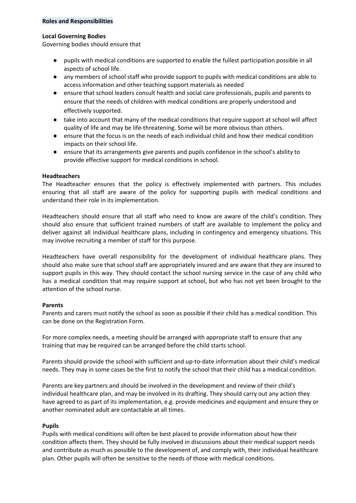#### **Roles and Responsibilities**

#### **Local Governing Bodies**

Governing bodies should ensure that

- pupils with medical conditions are supported to enable the fullest participation possible in all aspects of school life.
- any members of school staff who provide support to pupils with medical conditions are able to access information and other teaching support materials as needed
- ensure that school leaders consult health and social care professionals, pupils and parents to ensure that the needs of children with medical conditions are properly understood and effectively supported.
- take into account that many of the medical conditions that require support at school will affect quality of life and may be life-threatening. Some will be more obvious than others.
- ensure that the focus is on the needs of each individual child and how their medical condition impacts on their school life.
- ensure that its arrangements give parents and pupils confidence in the school's ability to provide effective support for medical conditions in school.

## **Headteachers**

The Headteacher ensures that the policy is effectively implemented with partners. This includes ensuring that all staff are aware of the policy for supporting pupils with medical conditions and understand their role in its implementation.

Headteachers should ensure that all staff who need to know are aware of the child's condition. They should also ensure that sufficient trained numbers of staff are available to implement the policy and deliver against all individual healthcare plans, including in contingency and emergency situations. This may involve recruiting a member of staff for this purpose.

Headteachers have overall responsibility for the development of individual healthcare plans. They should also make sure that school staff are appropriately insured and are aware that they are insured to support pupils in this way. They should contact the school nursing service in the case of any child who has a medical condition that may require support at school, but who has not yet been brought to the attention of the school nurse.

## **Parents**

Parents and carers must notify the school as soon as possible if their child has a medical condition. This can be done on the Registration Form.

For more complex needs, a meeting should be arranged with appropriate staff to ensure that any training that may be required can be arranged before the child starts school.

Parents should provide the school with sufficient and up-to-date information about their child's medical needs. They may in some cases be the first to notify the school that their child has a medical condition.

Parents are key partners and should be involved in the development and review of their child's individual healthcare plan, and may be involved in its drafting. They should carry out any action they have agreed to as part of its implementation, e.g. provide medicines and equipment and ensure they or another nominated adult are contactable at all times.

## **Pupils**

Pupils with medical conditions will often be best placed to provide information about how their condition affects them. They should be fully involved in discussions about their medical support needs and contribute as much as possible to the development of, and comply with, their individual healthcare plan. Other pupils will often be sensitive to the needs of those with medical conditions.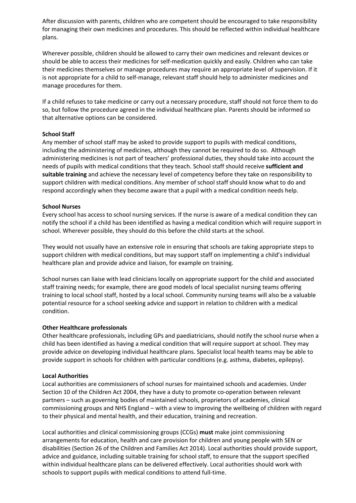After discussion with parents, children who are competent should be encouraged to take responsibility for managing their own medicines and procedures. This should be reflected within individual healthcare plans.

Wherever possible, children should be allowed to carry their own medicines and relevant devices or should be able to access their medicines for self-medication quickly and easily. Children who can take their medicines themselves or manage procedures may require an appropriate level of supervision. If it is not appropriate for a child to self-manage, relevant staff should help to administer medicines and manage procedures for them.

If a child refuses to take medicine or carry out a necessary procedure, staff should not force them to do so, but follow the procedure agreed in the individual healthcare plan. Parents should be informed so that alternative options can be considered.

## **School Staff**

Any member of school staff may be asked to provide support to pupils with medical conditions, including the administering of medicines, although they cannot be required to do so. Although administering medicines is not part of teachers' professional duties, they should take into account the needs of pupils with medical conditions that they teach. School staff should receive **sufficient and suitable training** and achieve the necessary level of competency before they take on responsibility to support children with medical conditions. Any member of school staff should know what to do and respond accordingly when they become aware that a pupil with a medical condition needs help.

## **School Nurses**

Every school has access to school nursing services. If the nurse is aware of a medical condition they can notify the school if a child has been identified as having a medical condition which will require support in school. Wherever possible, they should do this before the child starts at the school.

They would not usually have an extensive role in ensuring that schools are taking appropriate steps to support children with medical conditions, but may support staff on implementing a child's individual healthcare plan and provide advice and liaison, for example on training.

School nurses can liaise with lead clinicians locally on appropriate support for the child and associated staff training needs; for example, there are good models of local specialist nursing teams offering training to local school staff, hosted by a local school. Community nursing teams will also be a valuable potential resource for a school seeking advice and support in relation to children with a medical condition.

## **Other Healthcare professionals**

Other healthcare professionals, including GPs and paediatricians, should notify the school nurse when a child has been identified as having a medical condition that will require support at school. They may provide advice on developing individual healthcare plans. Specialist local health teams may be able to provide support in schools for children with particular conditions (e.g. asthma, diabetes, epilepsy).

## **Local Authorities**

Local authorities are commissioners of school nurses for maintained schools and academies. Under Section 10 of the Children Act 2004, they have a duty to promote co-operation between relevant partners – such as governing bodies of maintained schools, proprietors of academies, clinical commissioning groups and NHS England – with a view to improving the wellbeing of children with regard to their physical and mental health, and their education, training and recreation.

Local authorities and clinical commissioning groups (CCGs) **must** make joint commissioning arrangements for education, health and care provision for children and young people with SEN or disabilities (Section 26 of the Children and Families Act 2014). Local authorities should provide support, advice and guidance, including suitable training for school staff, to ensure that the support specified within individual healthcare plans can be delivered effectively. Local authorities should work with schools to support pupils with medical conditions to attend full-time.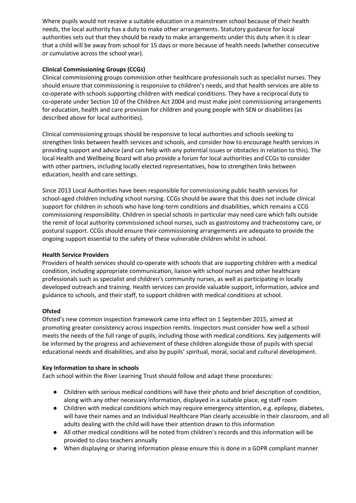Where pupils would not receive a suitable education in a mainstream school because of their health needs, the local authority has a duty to make other arrangements. Statutory guidance for local authorities sets out that they should be ready to make arrangements under this duty when it is clear that a child will be away from school for 15 days or more because of health needs (whether consecutive or cumulative across the school year).

## **Clinical Commissioning Groups (CCGs)**

Clinical commissioning groups commission other healthcare professionals such as specialist nurses. They should ensure that commissioning is responsive to children's needs, and that health services are able to co-operate with schools supporting children with medical conditions. They have a reciprocal duty to co-operate under Section 10 of the Children Act 2004 and must make joint commissioning arrangements for education, health and care provision for children and young people with SEN or disabilities (as described above for local authorities).

Clinical commissioning groups should be responsive to local authorities and schools seeking to strengthen links between health services and schools, and consider how to encourage health services in providing support and advice (and can help with any potential issues or obstacles in relation to this). The local Health and Wellbeing Board will also provide a forum for local authorities and CCGs to consider with other partners, including locally elected representatives, how to strengthen links between education, health and care settings.

Since 2013 Local Authorities have been responsible for commissioning public health services for school-aged children including school nursing. CCGs should be aware that this does not include clinical support for children in schools who have long-term conditions and disabilities, which remains a CCG commissioning responsibility. Children in special schools in particular may need care which falls outside the remit of local authority commissioned school nurses, such as gastrostomy and tracheostomy care, or postural support. CCGs should ensure their commissioning arrangements are adequate to provide the ongoing support essential to the safety of these vulnerable children whilst in school.

## **Health Service Providers**

Providers of health services should co-operate with schools that are supporting children with a medical condition, including appropriate communication, liaison with school nurses and other healthcare professionals such as specialist and children's community nurses, as well as participating in locally developed outreach and training. Health services can provide valuable support, information, advice and guidance to schools, and their staff, to support children with medical conditions at school.

## **Ofsted**

Ofsted's new common inspection framework came into effect on 1 September 2015, aimed at promoting greater consistency across inspection remits. Inspectors must consider how well a school meets the needs of the full range of pupils, including those with medical conditions. Key judgements will be informed by the progress and achievement of these children alongside those of pupils with special educational needs and disabilities, and also by pupils' spiritual, moral, social and cultural development.

## **Key Information to share in schools**

Each school within the River Learning Trust should follow and adapt these procedures:

- Children with serious medical conditions will have their photo and brief description of condition, along with any other necessary information, displayed in a suitable place, eg staff room
- Children with medical conditions which may require emergency attention, e.g. epilepsy, diabetes, will have their names and an Individual Healthcare Plan clearly accessible in their classroom, and all adults dealing with the child will have their attention drawn to this information
- All other medical conditions will be noted from children's records and this information will be provided to class teachers annually
- When displaying or sharing information please ensure this is done in a GDPR compliant manner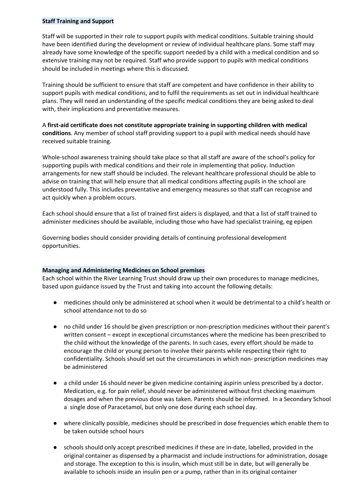## **Staff Training and Support**

Staff will be supported in their role to support pupils with medical conditions. Suitable training should have been identified during the development or review of individual healthcare plans. Some staff may already have some knowledge of the specific support needed by a child with a medical condition and so extensive training may not be required. Staff who provide support to pupils with medical conditions should be included in meetings where this is discussed.

Training should be sufficient to ensure that staff are competent and have confidence in their ability to support pupils with medical conditions, and to fulfil the requirements as set out in individual healthcare plans. They will need an understanding of the specific medical conditions they are being asked to deal with, their implications and preventative measures.

A **first-aid certificate does not constitute appropriate training in supporting children with medical conditions**. Any member of school staff providing support to a pupil with medical needs should have received suitable training.

Whole-school awareness training should take place so that all staff are aware of the school's policy for supporting pupils with medical conditions and their role in implementing that policy. Induction arrangements for new staff should be included. The relevant healthcare professional should be able to advise on training that will help ensure that all medical conditions affecting pupils in the school are understood fully. This includes preventative and emergency measures so that staff can recognise and act quickly when a problem occurs.

Each school should ensure that a list of trained first aiders is displayed, and that a list of staff trained to administer medicines should be available, including those who have had specialist training, eg epipen

Governing bodies should consider providing details of continuing professional development opportunities.

## **Managing and Administering Medicines on School premises**

Each school within the River Learning Trust should draw up their own procedures to manage medicines, based upon guidance issued by the Trust and taking into account the following details:

- medicines should only be administered at school when it would be detrimental to a child's health or school attendance not to do so
- no child under 16 should be given prescription or non-prescription medicines without their parent's written consent – except in exceptional circumstances where the medicine has been prescribed to the child without the knowledge of the parents. In such cases, every effort should be made to encourage the child or young person to involve their parents while respecting their right to confidentiality. Schools should set out the circumstances in which non- prescription medicines may be administered
- a child under 16 should never be given medicine containing aspirin unless prescribed by a doctor. Medication, e.g. for pain relief, should never be administered without first checking maximum dosages and when the previous dose was taken. Parents should be informed. In a Secondary School a single dose of Paracetamol, but only one dose during each school day.
- where clinically possible, medicines should be prescribed in dose frequencies which enable them to be taken outside school hours
- schools should only accept prescribed medicines if these are in-date, labelled, provided in the original container as dispensed by a pharmacist and include instructions for administration, dosage and storage. The exception to this is insulin, which must still be in date, but will generally be available to schools inside an insulin pen or a pump, rather than in its original container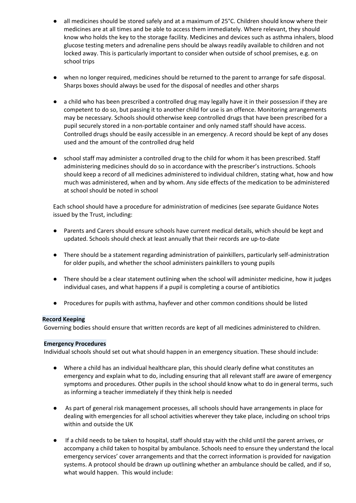- all medicines should be stored safely and at a maximum of 25 °C. Children should know where their medicines are at all times and be able to access them immediately. Where relevant, they should know who holds the key to the storage facility. Medicines and devices such as asthma inhalers, blood glucose testing meters and adrenaline pens should be always readily available to children and not locked away. This is particularly important to consider when outside of school premises, e.g. on school trips
- when no longer required, medicines should be returned to the parent to arrange for safe disposal. Sharps boxes should always be used for the disposal of needles and other sharps
- a child who has been prescribed a controlled drug may legally have it in their possession if they are competent to do so, but passing it to another child for use is an offence. Monitoring arrangements may be necessary. Schools should otherwise keep controlled drugs that have been prescribed for a pupil securely stored in a non-portable container and only named staff should have access. Controlled drugs should be easily accessible in an emergency. A record should be kept of any doses used and the amount of the controlled drug held
- school staff may administer a controlled drug to the child for whom it has been prescribed. Staff administering medicines should do so in accordance with the prescriber's instructions. Schools should keep a record of all medicines administered to individual children, stating what, how and how much was administered, when and by whom. Any side effects of the medication to be administered at school should be noted in school

Each school should have a procedure for administration of medicines (see separate Guidance Notes issued by the Trust, including:

- Parents and Carers should ensure schools have current medical details, which should be kept and updated. Schools should check at least annually that their records are up-to-date
- There should be a statement regarding administration of painkillers, particularly self-administration for older pupils, and whether the school administers painkillers to young pupils
- There should be a clear statement outlining when the school will administer medicine, how it judges individual cases, and what happens if a pupil is completing a course of antibiotics
- Procedures for pupils with asthma, hayfever and other common conditions should be listed

## **Record Keeping**

Governing bodies should ensure that written records are kept of all medicines administered to children.

#### **Emergency Procedures**

Individual schools should set out what should happen in an emergency situation. These should include:

- Where a child has an individual healthcare plan, this should clearly define what constitutes an emergency and explain what to do, including ensuring that all relevant staff are aware of emergency symptoms and procedures. Other pupils in the school should know what to do in general terms, such as informing a teacher immediately if they think help is needed
- As part of general risk management processes, all schools should have arrangements in place for dealing with emergencies for all school activities wherever they take place, including on school trips within and outside the UK
- If a child needs to be taken to hospital, staff should stay with the child until the parent arrives, or accompany a child taken to hospital by ambulance. Schools need to ensure they understand the local emergency services' cover arrangements and that the correct information is provided for navigation systems. A protocol should be drawn up outlining whether an ambulance should be called, and if so, what would happen. This would include: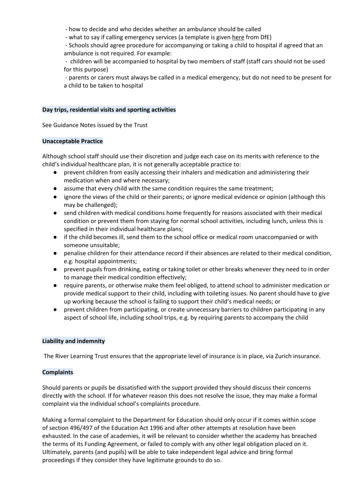- how to decide and who decides whether an ambulance should be called

- what to say if calling emergency services (a template is given [here](https://www.gov.uk/government/uploads/system/uploads/attachment_data/file/349437/Supporting_pupils_with_medical_conditions_-_templates.docx) from DfE)

- Schools should agree procedure for accompanying or taking a child to hospital if agreed that an ambulance is not required. For example:

- children will be accompanied to hospital by two members of staff (staff cars should not be used for this purpose)

- parents or carers must always be called in a medical emergency, but do not need to be present for a child to be taken to hospital

#### **Day trips, residential visits and sporting activities**

See Guidance Notes issued by the Trust

#### **Unacceptable Practice**

Although school staff should use their discretion and judge each case on its merits with reference to the child's individual healthcare plan, it is not generally acceptable practice to:

- prevent children from easily accessing their inhalers and medication and administering their medication when and where necessary;
- assume that every child with the same condition requires the same treatment;
- ignore the views of the child or their parents; or ignore medical evidence or opinion (although this may be challenged);
- send children with medical conditions home frequently for reasons associated with their medical condition or prevent them from staying for normal school activities, including lunch, unless this is specified in their individual healthcare plans;
- if the child becomes ill, send them to the school office or medical room unaccompanied or with someone unsuitable;
- penalise children for their attendance record if their absences are related to their medical condition, e.g. hospital appointments;
- prevent pupils from drinking, eating or taking toilet or other breaks whenever they need to in order to manage their medical condition effectively;
- require parents, or otherwise make them feel obliged, to attend school to administer medication or provide medical support to their child, including with toileting issues. No parent should have to give up working because the school is failing to support their child's medical needs; or
- prevent children from participating, or create unnecessary barriers to children participating in any aspect of school life, including school trips, e.g. by requiring parents to accompany the child

## **Liability and indemnity**

The River Learning Trust ensures that the appropriate level of insurance is in place, via Zurich insurance.

## **Complaints**

Should parents or pupils be dissatisfied with the support provided they should discuss their concerns directly with the school. If for whatever reason this does not resolve the issue, they may make a formal complaint via the individual school's complaints procedure.

Making a formal complaint to the Department for Education should only occur if it comes within scope of section 496/497 of the Education Act 1996 and after other attempts at resolution have been exhausted. In the case of academies, it will be relevant to consider whether the academy has breached the terms of its Funding Agreement, or failed to comply with any other legal obligation placed on it. Ultimately, parents (and pupils) will be able to take independent legal advice and bring formal proceedings if they consider they have legitimate grounds to do so.